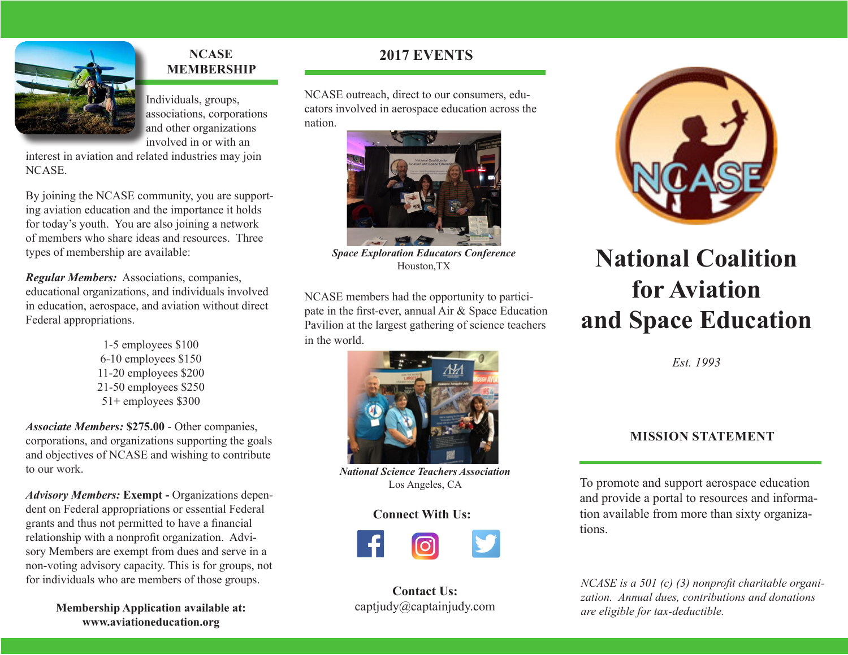

#### **NCASE MEMBERSHIP**

Individuals, groups, associations, corporations and other organizations involved in or with an

interest in aviation and related industries may join NCASE.

By joining the NCASE community, you are supporting aviation education and the importance it holds for today's youth. You are also joining a network of members who share ideas and resources. Three types of membership are available:

*Regular Members:* Associations, companies, educational organizations, and individuals involved in education, aerospace, and aviation without direct Federal appropriations.

> 1-5 employees \$100 6-10 employees \$150 11-20 employees \$200 21-50 employees \$250 51+ employees \$300

*Associate Members:* **\$275.00** - Other companies, corporations, and organizations supporting the goals and objectives of NCASE and wishing to contribute to our work.

*Advisory Members:* **Exempt -** Organizations dependent on Federal appropriations or essential Federal grants and thus not permitted to have a financial relationship with a nonprofit organization. Advisory Members are exempt from dues and serve in a non-voting advisory capacity. This is for groups, not for individuals who are members of those groups.

> **Membership Application available at: www.aviationeducation.org**

#### **2017 EVENTS**

NCASE outreach, direct to our consumers, educators involved in aerospace education across the nation.



*Space Exploration Educators Conference* Houston, TX

NCASE members had the opportunity to participate in the first-ever, annual Air & Space Education Pavilion at the largest gathering of science teachers in the world.



*National Science Teachers Association* Los Angeles, CA

#### **Connect With Us:**



**Contact Us:** captjudy@captainjudy.com



## **National Coalition for Aviation and Space Education**

*Est. 1993*

#### **MISSION STATEMENT**

To promote and support aerospace education and provide a portal to resources and information available from more than sixty organizations.

*NCASE is a 501 (c) (3) nonprofit charitable organization. Annual dues, contributions and donations are eligible for tax-deductible.*